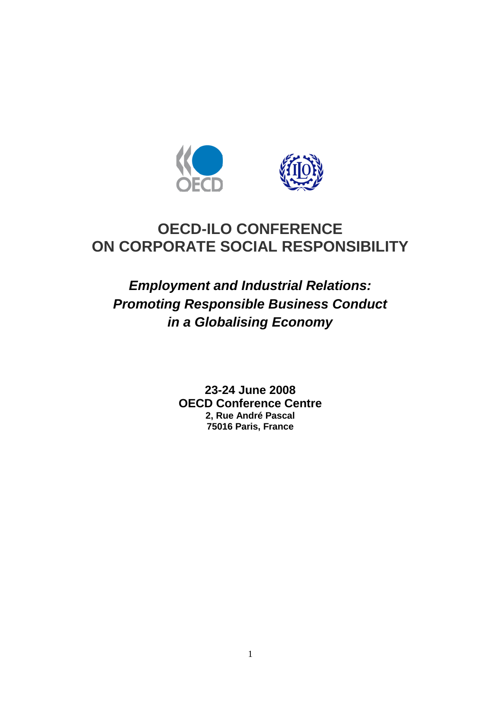

## **OECD-ILO CONFERENCE ON CORPORATE SOCIAL RESPONSIBILITY**

# *Employment and Industrial Relations: Promoting Responsible Business Conduct in a Globalising Economy*

**23-24 June 2008 OECD Conference Centre 2, Rue André Pascal 75016 Paris, France**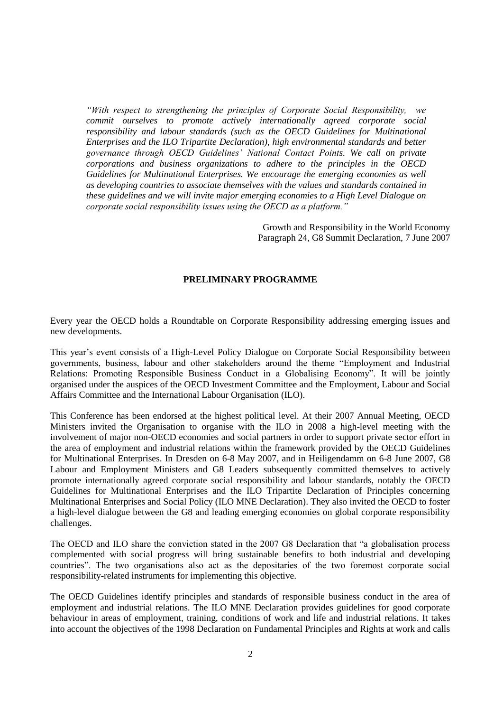*"With respect to strengthening the principles of Corporate Social Responsibility, we commit ourselves to promote actively internationally agreed corporate social responsibility and labour standards (such as the OECD Guidelines for Multinational Enterprises and the ILO Tripartite Declaration), high environmental standards and better governance through OECD Guidelines' National Contact Points. We call on private corporations and business organizations to adhere to the principles in the OECD Guidelines for Multinational Enterprises. We encourage the emerging economies as well as developing countries to associate themselves with the values and standards contained in these guidelines and we will invite major emerging economies to a High Level Dialogue on corporate social responsibility issues using the OECD as a platform."*

> Growth and Responsibility in the World Economy Paragraph 24, G8 Summit Declaration, 7 June 2007

#### **PRELIMINARY PROGRAMME**

Every year the OECD holds a Roundtable on Corporate Responsibility addressing emerging issues and new developments.

This year's event consists of a High-Level Policy Dialogue on Corporate Social Responsibility between governments, business, labour and other stakeholders around the theme "Employment and Industrial Relations: Promoting Responsible Business Conduct in a Globalising Economy". It will be jointly organised under the auspices of the OECD Investment Committee and the Employment, Labour and Social Affairs Committee and the International Labour Organisation (ILO).

This Conference has been endorsed at the highest political level. At their 2007 Annual Meeting, OECD Ministers invited the Organisation to organise with the ILO in 2008 a high-level meeting with the involvement of major non-OECD economies and social partners in order to support private sector effort in the area of employment and industrial relations within the framework provided by the OECD Guidelines for Multinational Enterprises. In Dresden on 6-8 May 2007, and in Heiligendamm on 6-8 June 2007, G8 Labour and Employment Ministers and G8 Leaders subsequently committed themselves to actively promote internationally agreed corporate social responsibility and labour standards, notably the OECD Guidelines for Multinational Enterprises and the ILO Tripartite Declaration of Principles concerning Multinational Enterprises and Social Policy (ILO MNE Declaration). They also invited the OECD to foster a high-level dialogue between the G8 and leading emerging economies on global corporate responsibility challenges.

The OECD and ILO share the conviction stated in the 2007 G8 Declaration that "a globalisation process" complemented with social progress will bring sustainable benefits to both industrial and developing countries". The two organisations also act as the depositaries of the two foremost corporate social responsibility-related instruments for implementing this objective.

The OECD Guidelines identify principles and standards of responsible business conduct in the area of employment and industrial relations. The ILO MNE Declaration provides guidelines for good corporate behaviour in areas of employment, training, conditions of work and life and industrial relations. It takes into account the objectives of the 1998 Declaration on Fundamental Principles and Rights at work and calls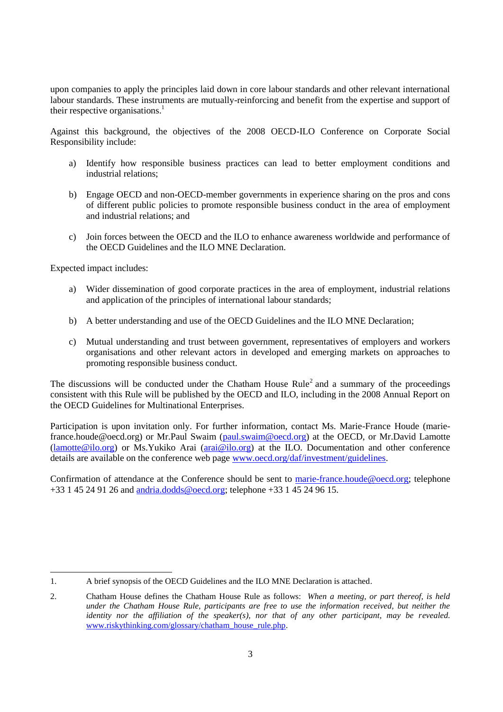upon companies to apply the principles laid down in core labour standards and other relevant international labour standards. These instruments are mutually-reinforcing and benefit from the expertise and support of their respective organisations.<sup>1</sup>

Against this background, the objectives of the 2008 OECD-ILO Conference on Corporate Social Responsibility include:

- a) Identify how responsible business practices can lead to better employment conditions and industrial relations;
- b) Engage OECD and non-OECD-member governments in experience sharing on the pros and cons of different public policies to promote responsible business conduct in the area of employment and industrial relations; and
- c) Join forces between the OECD and the ILO to enhance awareness worldwide and performance of the OECD Guidelines and the ILO MNE Declaration.

Expected impact includes:

- a) Wider dissemination of good corporate practices in the area of employment, industrial relations and application of the principles of international labour standards;
- b) A better understanding and use of the OECD Guidelines and the ILO MNE Declaration;
- c) Mutual understanding and trust between government, representatives of employers and workers organisations and other relevant actors in developed and emerging markets on approaches to promoting responsible business conduct.

The discussions will be conducted under the Chatham House  $Rule<sup>2</sup>$  and a summary of the proceedings consistent with this Rule will be published by the OECD and ILO, including in the 2008 Annual Report on the OECD Guidelines for Multinational Enterprises.

Participation is upon invitation only. For further information, contact Ms. Marie-France Houde (marie-france.houde@oecd.org) or Mr.Paul Swaim [\(paul.swaim@oecd.org\)](mailto:paul.swaim@oecd.org) at the OECD, or Mr.David Lamotte [\(lamotte@ilo.org\)](mailto:lamotte@ilo.org) or Ms. Yukiko Arai [\(arai@ilo.org\)](mailto:arai@ilo.org) at the ILO. Documentation and other conference details are available on the conference web page [www.oecd.org/daf/investment/guidelines.](http://www.oecd.org/daf/investment/development)

Confirmation of attendance at the Conference should be sent to [marie-france.houde@oecd.org;](mailto:marie-france.houde@oecd.org) telephone +33 1 45 24 91 26 and [andria.dodds@oecd.org;](mailto:andria.dodds@oecd.org) telephone +33 1 45 24 96 15.

l 1. A brief synopsis of the OECD Guidelines and the ILO MNE Declaration is attached.

<sup>2.</sup> Chatham House defines the Chatham House Rule as follows: *When a meeting, or part thereof, is held under the Chatham House Rule, participants are free to use the information received, but neither the identity nor the affiliation of the speaker(s), nor that of any other participant, may be revealed.* [www.riskythinking.com/glossary/chatham\\_house\\_rule.php.](http://www.riskythinking.com/glossary/chatham_house_rule.php)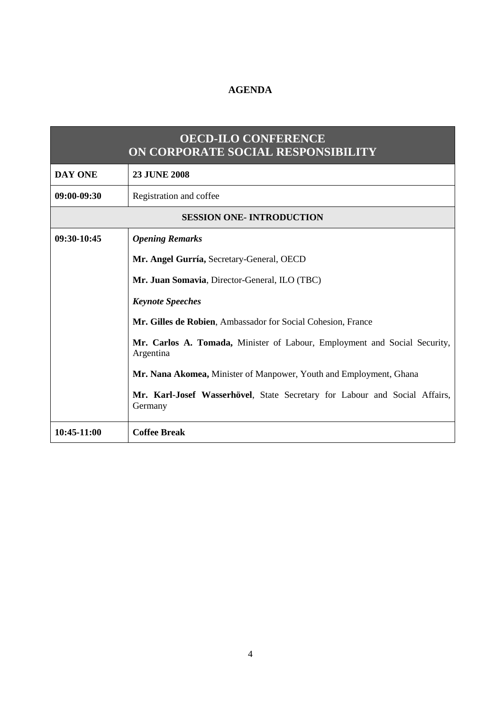## **AGENDA**

| <b>OECD-ILO CONFERENCE</b><br>ON CORPORATE SOCIAL RESPONSIBILITY |                                                                                        |  |
|------------------------------------------------------------------|----------------------------------------------------------------------------------------|--|
| <b>DAY ONE</b>                                                   | <b>23 JUNE 2008</b>                                                                    |  |
| 09:00-09:30                                                      | Registration and coffee                                                                |  |
| <b>SESSION ONE- INTRODUCTION</b>                                 |                                                                                        |  |
| 09:30-10:45                                                      | <b>Opening Remarks</b>                                                                 |  |
|                                                                  | Mr. Angel Gurría, Secretary-General, OECD                                              |  |
|                                                                  | Mr. Juan Somavia, Director-General, ILO (TBC)                                          |  |
|                                                                  | <b>Keynote Speeches</b>                                                                |  |
|                                                                  | Mr. Gilles de Robien, Ambassador for Social Cohesion, France                           |  |
|                                                                  | Mr. Carlos A. Tomada, Minister of Labour, Employment and Social Security,<br>Argentina |  |
|                                                                  | Mr. Nana Akomea, Minister of Manpower, Youth and Employment, Ghana                     |  |
|                                                                  | Mr. Karl-Josef Wasserhövel, State Secretary for Labour and Social Affairs,<br>Germany  |  |
| 10:45-11:00                                                      | <b>Coffee Break</b>                                                                    |  |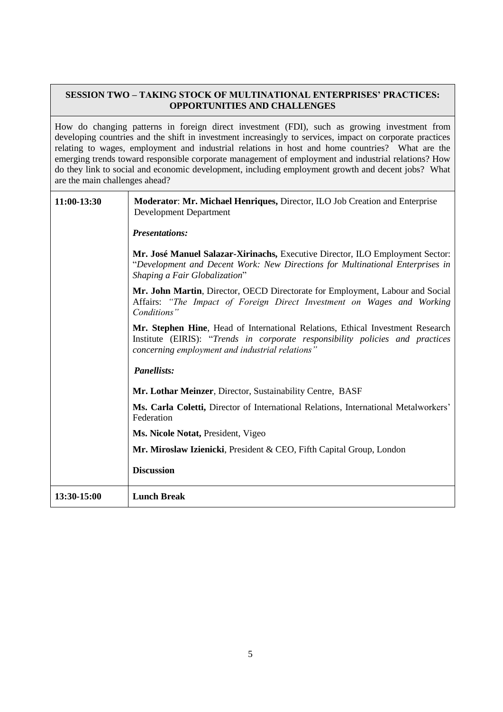## **SESSION TWO – TAKING STOCK OF MULTINATIONAL ENTERPRISES' PRACTICES: OPPORTUNITIES AND CHALLENGES**

How do changing patterns in foreign direct investment (FDI), such as growing investment from developing countries and the shift in investment increasingly to services, impact on corporate practices relating to wages, employment and industrial relations in host and home countries? What are the emerging trends toward responsible corporate management of employment and industrial relations? How do they link to social and economic development, including employment growth and decent jobs? What are the main challenges ahead?

| 11:00-13:30 | Moderator: Mr. Michael Henriques, Director, ILO Job Creation and Enterprise<br><b>Development Department</b>                                                                                                       |
|-------------|--------------------------------------------------------------------------------------------------------------------------------------------------------------------------------------------------------------------|
|             | <b>Presentations:</b>                                                                                                                                                                                              |
|             | Mr. José Manuel Salazar-Xirinachs, Executive Director, ILO Employment Sector:<br>"Development and Decent Work: New Directions for Multinational Enterprises in<br>Shaping a Fair Globalization"                    |
|             | Mr. John Martin, Director, OECD Directorate for Employment, Labour and Social<br>Affairs: "The Impact of Foreign Direct Investment on Wages and Working<br>Conditions"                                             |
|             | Mr. Stephen Hine, Head of International Relations, Ethical Investment Research<br>Institute (EIRIS): "Trends in corporate responsibility policies and practices<br>concerning employment and industrial relations" |
|             | <b>Panellists:</b>                                                                                                                                                                                                 |
|             | Mr. Lothar Meinzer, Director, Sustainability Centre, BASF                                                                                                                                                          |
|             | Ms. Carla Coletti, Director of International Relations, International Metalworkers'<br>Federation                                                                                                                  |
|             | Ms. Nicole Notat, President, Vigeo                                                                                                                                                                                 |
|             | Mr. Miroslaw Izienicki, President & CEO, Fifth Capital Group, London                                                                                                                                               |
|             | <b>Discussion</b>                                                                                                                                                                                                  |
| 13:30-15:00 | <b>Lunch Break</b>                                                                                                                                                                                                 |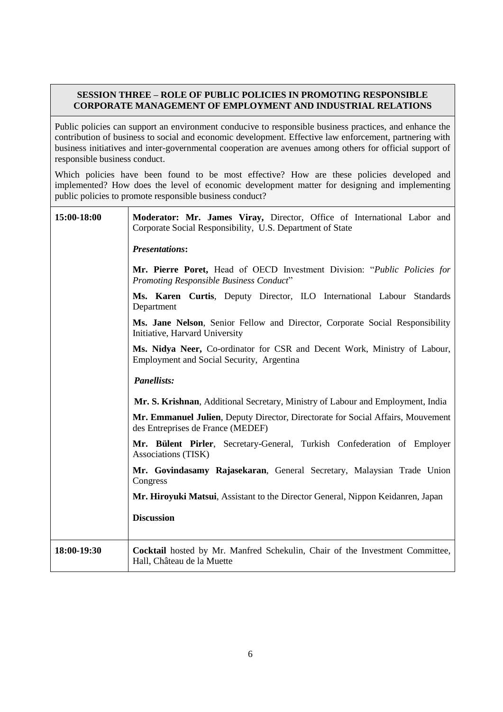## **SESSION THREE – ROLE OF PUBLIC POLICIES IN PROMOTING RESPONSIBLE CORPORATE MANAGEMENT OF EMPLOYMENT AND INDUSTRIAL RELATIONS**

Public policies can support an environment conducive to responsible business practices, and enhance the contribution of business to social and economic development. Effective law enforcement, partnering with business initiatives and inter-governmental cooperation are avenues among others for official support of responsible business conduct.

Which policies have been found to be most effective? How are these policies developed and implemented? How does the level of economic development matter for designing and implementing public policies to promote responsible business conduct?

| 15:00-18:00 | Moderator: Mr. James Viray, Director, Office of International Labor and<br>Corporate Social Responsibility, U.S. Department of State |
|-------------|--------------------------------------------------------------------------------------------------------------------------------------|
|             | <b>Presentations:</b>                                                                                                                |
|             | Mr. Pierre Poret, Head of OECD Investment Division: "Public Policies for<br>Promoting Responsible Business Conduct"                  |
|             | Ms. Karen Curtis, Deputy Director, ILO International Labour Standards<br>Department                                                  |
|             | Ms. Jane Nelson, Senior Fellow and Director, Corporate Social Responsibility<br>Initiative, Harvard University                       |
|             | Ms. Nidya Neer, Co-ordinator for CSR and Decent Work, Ministry of Labour,<br>Employment and Social Security, Argentina               |
|             | <b>Panellists:</b>                                                                                                                   |
|             | Mr. S. Krishnan, Additional Secretary, Ministry of Labour and Employment, India                                                      |
|             | Mr. Emmanuel Julien, Deputy Director, Directorate for Social Affairs, Mouvement<br>des Entreprises de France (MEDEF)                 |
|             | Mr. Bülent Pirler, Secretary-General, Turkish Confederation of Employer<br>Associations (TISK)                                       |
|             | Mr. Govindasamy Rajasekaran, General Secretary, Malaysian Trade Union<br>Congress                                                    |
|             | Mr. Hiroyuki Matsui, Assistant to the Director General, Nippon Keidanren, Japan                                                      |
|             | <b>Discussion</b>                                                                                                                    |
| 18:00-19:30 | Cocktail hosted by Mr. Manfred Schekulin, Chair of the Investment Committee,<br>Hall, Château de la Muette                           |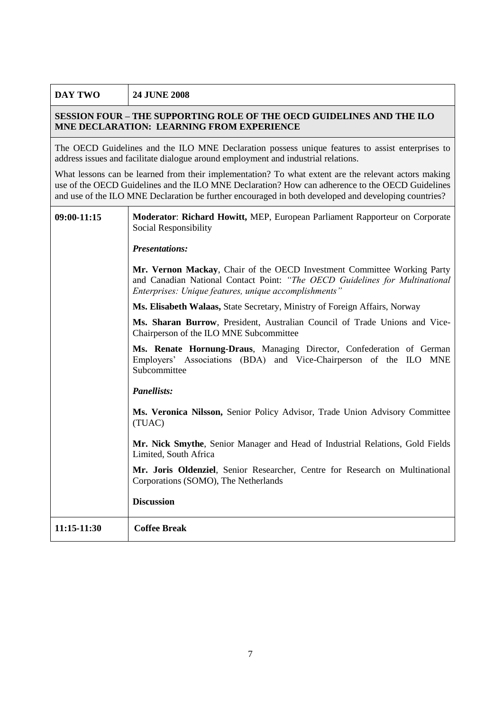### **DAY TWO 24 JUNE 2008**

## **SESSION FOUR – THE SUPPORTING ROLE OF THE OECD GUIDELINES AND THE ILO MNE DECLARATION: LEARNING FROM EXPERIENCE**

The OECD Guidelines and the ILO MNE Declaration possess unique features to assist enterprises to address issues and facilitate dialogue around employment and industrial relations.

What lessons can be learned from their implementation? To what extent are the relevant actors making use of the OECD Guidelines and the ILO MNE Declaration? How can adherence to the OECD Guidelines and use of the ILO MNE Declaration be further encouraged in both developed and developing countries?

| 09:00-11:15 | Moderator: Richard Howitt, MEP, European Parliament Rapporteur on Corporate<br>Social Responsibility                                                                                                            |
|-------------|-----------------------------------------------------------------------------------------------------------------------------------------------------------------------------------------------------------------|
|             | <b>Presentations:</b>                                                                                                                                                                                           |
|             | Mr. Vernon Mackay, Chair of the OECD Investment Committee Working Party<br>and Canadian National Contact Point: "The OECD Guidelines for Multinational<br>Enterprises: Unique features, unique accomplishments" |
|             | Ms. Elisabeth Walaas, State Secretary, Ministry of Foreign Affairs, Norway                                                                                                                                      |
|             | Ms. Sharan Burrow, President, Australian Council of Trade Unions and Vice-<br>Chairperson of the ILO MNE Subcommittee                                                                                           |
|             | Ms. Renate Hornung-Draus, Managing Director, Confederation of German<br>Employers' Associations (BDA) and Vice-Chairperson of the ILO MNE<br>Subcommittee                                                       |
|             | <b>Panellists:</b>                                                                                                                                                                                              |
|             | Ms. Veronica Nilsson, Senior Policy Advisor, Trade Union Advisory Committee<br>(TUAC)                                                                                                                           |
|             | Mr. Nick Smythe, Senior Manager and Head of Industrial Relations, Gold Fields<br>Limited, South Africa                                                                                                          |
|             | Mr. Joris Oldenziel, Senior Researcher, Centre for Research on Multinational<br>Corporations (SOMO), The Netherlands                                                                                            |
|             | <b>Discussion</b>                                                                                                                                                                                               |
| 11:15-11:30 | <b>Coffee Break</b>                                                                                                                                                                                             |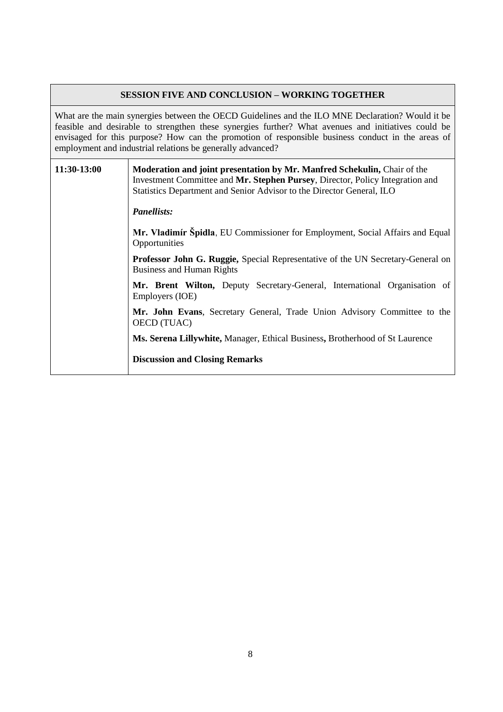#### **SESSION FIVE AND CONCLUSION – WORKING TOGETHER**

What are the main synergies between the OECD Guidelines and the ILO MNE Declaration? Would it be feasible and desirable to strengthen these synergies further? What avenues and initiatives could be envisaged for this purpose? How can the promotion of responsible business conduct in the areas of employment and industrial relations be generally advanced?

| 11:30-13:00 | Moderation and joint presentation by Mr. Manfred Schekulin, Chair of the<br>Investment Committee and Mr. Stephen Pursey, Director, Policy Integration and<br>Statistics Department and Senior Advisor to the Director General, ILO |
|-------------|------------------------------------------------------------------------------------------------------------------------------------------------------------------------------------------------------------------------------------|
|             | <b>Panellists:</b>                                                                                                                                                                                                                 |
|             | Mr. Vladimír Špidla, EU Commissioner for Employment, Social Affairs and Equal<br>Opportunities                                                                                                                                     |
|             | <b>Professor John G. Ruggie, Special Representative of the UN Secretary-General on</b><br><b>Business and Human Rights</b>                                                                                                         |
|             | Mr. Brent Wilton, Deputy Secretary-General, International Organisation of<br>Employers (IOE)                                                                                                                                       |
|             | Mr. John Evans, Secretary General, Trade Union Advisory Committee to the<br><b>OECD</b> (TUAC)                                                                                                                                     |
|             | Ms. Serena Lillywhite, Manager, Ethical Business, Brotherhood of St Laurence                                                                                                                                                       |
|             | <b>Discussion and Closing Remarks</b>                                                                                                                                                                                              |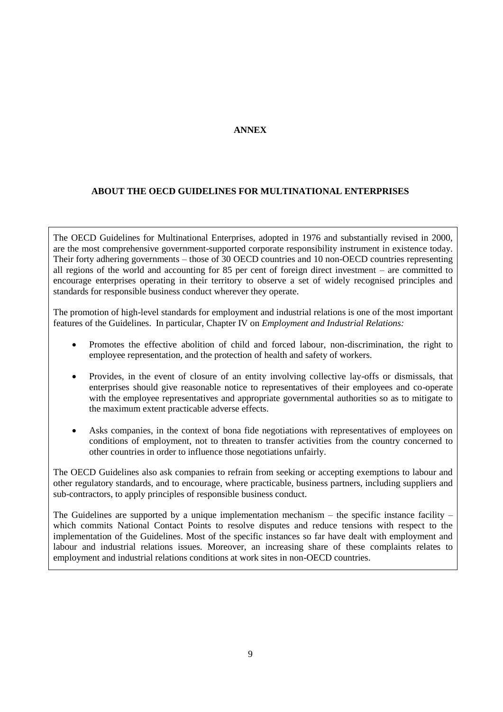## **ANNEX**

## **ABOUT THE OECD GUIDELINES FOR MULTINATIONAL ENTERPRISES**

The OECD Guidelines for Multinational Enterprises, adopted in 1976 and substantially revised in 2000, are the most comprehensive government-supported corporate responsibility instrument in existence today. Their forty adhering governments – those of 30 OECD countries and 10 non-OECD countries representing all regions of the world and accounting for 85 per cent of foreign direct investment – are committed to encourage enterprises operating in their territory to observe a set of widely recognised principles and standards for responsible business conduct wherever they operate.

The promotion of high-level standards for employment and industrial relations is one of the most important features of the Guidelines. In particular, Chapter IV on *Employment and Industrial Relations:* 

- Promotes the effective abolition of child and forced labour, non-discrimination, the right to employee representation, and the protection of health and safety of workers.
- Provides, in the event of closure of an entity involving collective lay-offs or dismissals, that enterprises should give reasonable notice to representatives of their employees and co-operate with the employee representatives and appropriate governmental authorities so as to mitigate to the maximum extent practicable adverse effects.
- Asks companies, in the context of bona fide negotiations with representatives of employees on conditions of employment, not to threaten to transfer activities from the country concerned to other countries in order to influence those negotiations unfairly.

The OECD Guidelines also ask companies to refrain from seeking or accepting exemptions to labour and other regulatory standards, and to encourage, where practicable, business partners, including suppliers and sub-contractors, to apply principles of responsible business conduct.

The Guidelines are supported by a unique implementation mechanism  $-$  the specific instance facility  $$ which commits National Contact Points to resolve disputes and reduce tensions with respect to the implementation of the Guidelines. Most of the specific instances so far have dealt with employment and labour and industrial relations issues. Moreover, an increasing share of these complaints relates to employment and industrial relations conditions at work sites in non-OECD countries.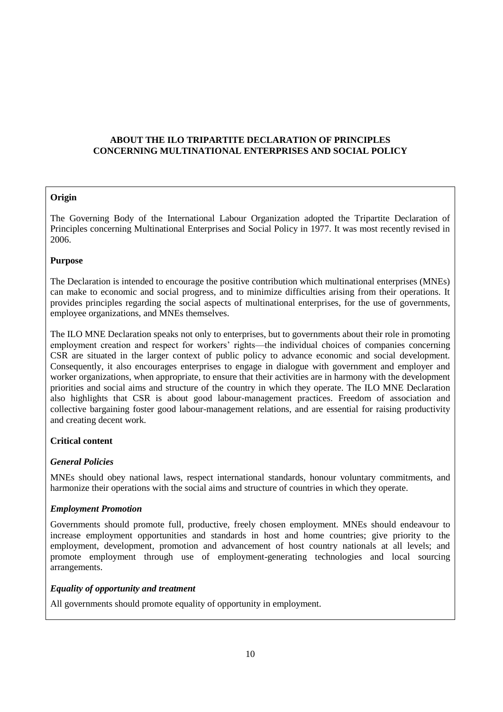### **ABOUT THE ILO TRIPARTITE DECLARATION OF PRINCIPLES CONCERNING MULTINATIONAL ENTERPRISES AND SOCIAL POLICY**

## **Origin**

The Governing Body of the International Labour Organization adopted the Tripartite Declaration of Principles concerning Multinational Enterprises and Social Policy in 1977. It was most recently revised in 2006.

## **Purpose**

The Declaration is intended to encourage the positive contribution which multinational enterprises (MNEs) can make to economic and social progress, and to minimize difficulties arising from their operations. It provides principles regarding the social aspects of multinational enterprises, for the use of governments, employee organizations, and MNEs themselves.

The ILO MNE Declaration speaks not only to enterprises, but to governments about their role in promoting employment creation and respect for workers' rights—the individual choices of companies concerning CSR are situated in the larger context of public policy to advance economic and social development. Consequently, it also encourages enterprises to engage in dialogue with government and employer and worker organizations, when appropriate, to ensure that their activities are in harmony with the development priorities and social aims and structure of the country in which they operate. The ILO MNE Declaration also highlights that CSR is about good labour-management practices. Freedom of association and collective bargaining foster good labour-management relations, and are essential for raising productivity and creating decent work.

## **Critical content**

## *General Policies*

MNEs should obey national laws, respect international standards, honour voluntary commitments, and harmonize their operations with the social aims and structure of countries in which they operate.

#### *Employment Promotion*

Governments should promote full, productive, freely chosen employment. MNEs should endeavour to increase employment opportunities and standards in host and home countries; give priority to the employment, development, promotion and advancement of host country nationals at all levels; and promote employment through use of employment-generating technologies and local sourcing arrangements.

#### *Equality of opportunity and treatment*

All governments should promote equality of opportunity in employment.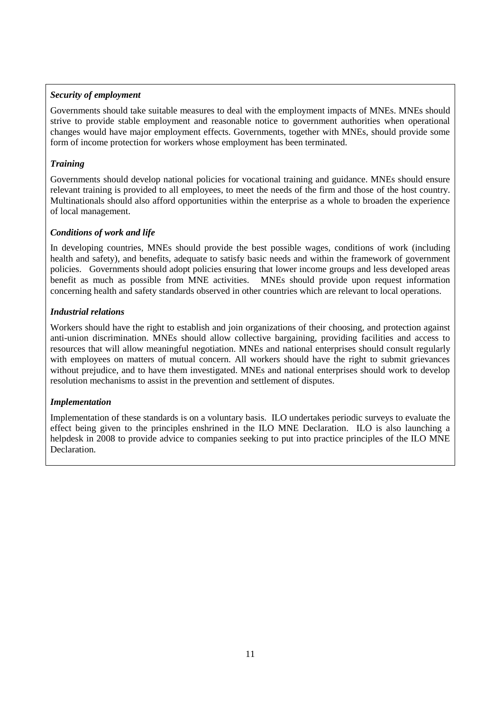## *Security of employment*

Governments should take suitable measures to deal with the employment impacts of MNEs. MNEs should strive to provide stable employment and reasonable notice to government authorities when operational changes would have major employment effects. Governments, together with MNEs, should provide some form of income protection for workers whose employment has been terminated.

## *Training*

Governments should develop national policies for vocational training and guidance. MNEs should ensure relevant training is provided to all employees, to meet the needs of the firm and those of the host country. Multinationals should also afford opportunities within the enterprise as a whole to broaden the experience of local management.

## *Conditions of work and life*

In developing countries, MNEs should provide the best possible wages, conditions of work (including health and safety), and benefits, adequate to satisfy basic needs and within the framework of government policies. Governments should adopt policies ensuring that lower income groups and less developed areas benefit as much as possible from MNE activities. MNEs should provide upon request information concerning health and safety standards observed in other countries which are relevant to local operations.

## *Industrial relations*

Workers should have the right to establish and join organizations of their choosing, and protection against anti-union discrimination. MNEs should allow collective bargaining, providing facilities and access to resources that will allow meaningful negotiation. MNEs and national enterprises should consult regularly with employees on matters of mutual concern. All workers should have the right to submit grievances without prejudice, and to have them investigated. MNEs and national enterprises should work to develop resolution mechanisms to assist in the prevention and settlement of disputes.

## *Implementation*

Implementation of these standards is on a voluntary basis. ILO undertakes periodic surveys to evaluate the effect being given to the principles enshrined in the ILO MNE Declaration. ILO is also launching a helpdesk in 2008 to provide advice to companies seeking to put into practice principles of the ILO MNE Declaration.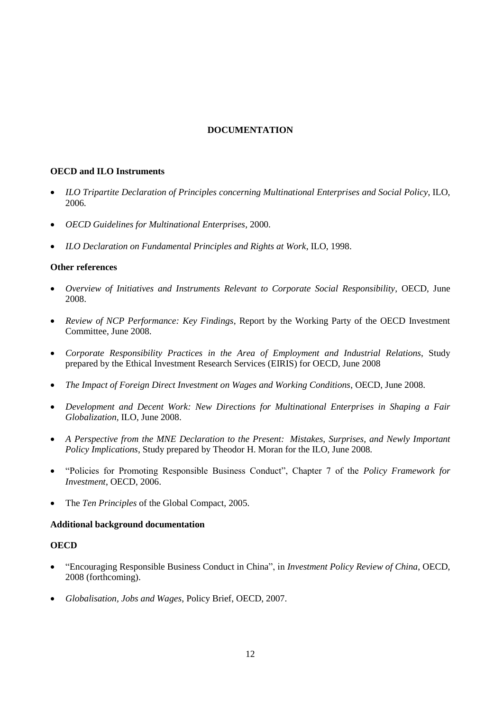### **DOCUMENTATION**

#### **OECD and ILO Instruments**

- *ILO Tripartite Declaration of Principles concerning Multinational Enterprises and Social Policy*, ILO, 2006*.*
- *OECD Guidelines for Multinational Enterprises*, 2000.
- *ILO Declaration on Fundamental Principles and Rights at Work*, ILO, 1998.

#### **Other references**

- *Overview of Initiatives and Instruments Relevant to Corporate Social Responsibility*, OECD, June 2008.
- *Review of NCP Performance: Key Findings*, Report by the Working Party of the OECD Investment Committee, June 2008.
- *Corporate Responsibility Practices in the Area of Employment and Industrial Relations*, Study prepared by the Ethical Investment Research Services (EIRIS) for OECD, June 2008
- *The Impact of Foreign Direct Investment on Wages and Working Conditions*, OECD, June 2008.
- *Development and Decent Work: New Directions for Multinational Enterprises in Shaping a Fair Globalization,* ILO, June 2008.
- *A Perspective from the MNE Declaration to the Present: Mistakes, Surprises, and Newly Important Policy Implications*, Study prepared by Theodor H. Moran for the ILO, June 2008.
- ―Policies for Promoting Responsible Business Conduct‖, Chapter 7 of the *Policy Framework for Investment*, OECD, 2006.
- The *Ten Principles* of the Global Compact, 2005.

#### **Additional background documentation**

#### **OECD**

- ―Encouraging Responsible Business Conduct in China‖, in *Investment Policy Review of China*, OECD, 2008 (forthcoming).
- *Globalisation, Jobs and Wages*, Policy Brief, OECD, 2007.